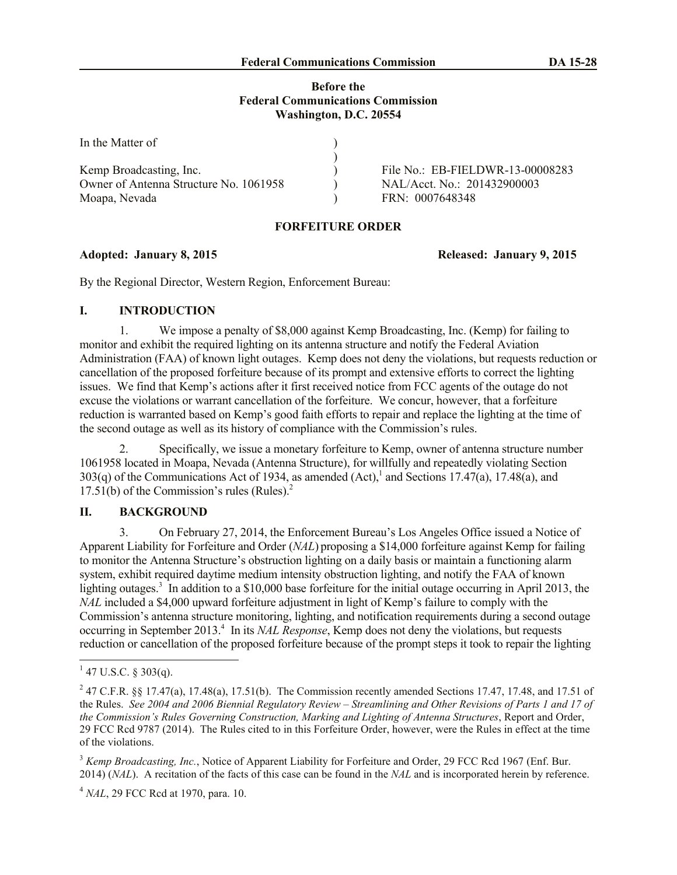## **Before the Federal Communications Commission Washington, D.C. 20554**

| In the Matter of                       |                                  |
|----------------------------------------|----------------------------------|
|                                        |                                  |
| Kemp Broadcasting, Inc.                | File No.: EB-FIELDWR-13-00008283 |
| Owner of Antenna Structure No. 1061958 | NAL/Acct. No.: 201432900003      |
| Moapa, Nevada                          | FRN: 0007648348                  |

## **FORFEITURE ORDER**

By the Regional Director, Western Region, Enforcement Bureau:

# **I. INTRODUCTION**

1. We impose a penalty of \$8,000 against Kemp Broadcasting, Inc. (Kemp) for failing to monitor and exhibit the required lighting on its antenna structure and notify the Federal Aviation Administration (FAA) of known light outages. Kemp does not deny the violations, but requests reduction or cancellation of the proposed forfeiture because of its prompt and extensive efforts to correct the lighting issues. We find that Kemp's actions after it first received notice from FCC agents of the outage do not excuse the violations or warrant cancellation of the forfeiture. We concur, however, that a forfeiture reduction is warranted based on Kemp's good faith efforts to repair and replace the lighting at the time of the second outage as well as its history of compliance with the Commission's rules.

2. Specifically, we issue a monetary forfeiture to Kemp, owner of antenna structure number 1061958 located in Moapa, Nevada (Antenna Structure), for willfully and repeatedly violating Section 303(q) of the Communications Act of 1934, as amended  $(Act)$ , and Sections 17.47(a), 17.48(a), and  $17.51(b)$  of the Commission's rules (Rules).<sup>2</sup>

# **II. BACKGROUND**

3. On February 27, 2014, the Enforcement Bureau's Los Angeles Office issued a Notice of Apparent Liability for Forfeiture and Order (*NAL*) proposing a \$14,000 forfeiture against Kemp for failing to monitor the Antenna Structure's obstruction lighting on a daily basis or maintain a functioning alarm system, exhibit required daytime medium intensity obstruction lighting, and notify the FAA of known lighting outages.<sup>3</sup> In addition to a \$10,000 base forfeiture for the initial outage occurring in April 2013, the *NAL* included a \$4,000 upward forfeiture adjustment in light of Kemp's failure to comply with the Commission's antenna structure monitoring, lighting, and notification requirements during a second outage occurring in September 2013.<sup>4</sup> In its *NAL Response*, Kemp does not deny the violations, but requests reduction or cancellation of the proposed forfeiture because of the prompt steps it took to repair the lighting

<sup>4</sup> *NAL*, 29 FCC Rcd at 1970, para. 10.

**Adopted: January 8, 2015 Released: January 9, 2015**

 $1\overline{47 \text{ U.S.C. } }$ § 303(q).

<sup>&</sup>lt;sup>2</sup> 47 C.F.R. §§ 17.47(a), 17.48(a), 17.51(b). The Commission recently amended Sections 17.47, 17.48, and 17.51 of the Rules. *See 2004 and 2006 Biennial Regulatory Review – Streamlining and Other Revisions of Parts 1 and 17 of the Commission's Rules Governing Construction, Marking and Lighting of Antenna Structures*, Report and Order, 29 FCC Rcd 9787 (2014). The Rules cited to in this Forfeiture Order, however, were the Rules in effect at the time of the violations.

<sup>&</sup>lt;sup>3</sup> *Kemp Broadcasting, Inc.*, Notice of Apparent Liability for Forfeiture and Order, 29 FCC Rcd 1967 (Enf. Bur. 2014) (*NAL*). A recitation of the facts of this case can be found in the *NAL* and is incorporated herein by reference.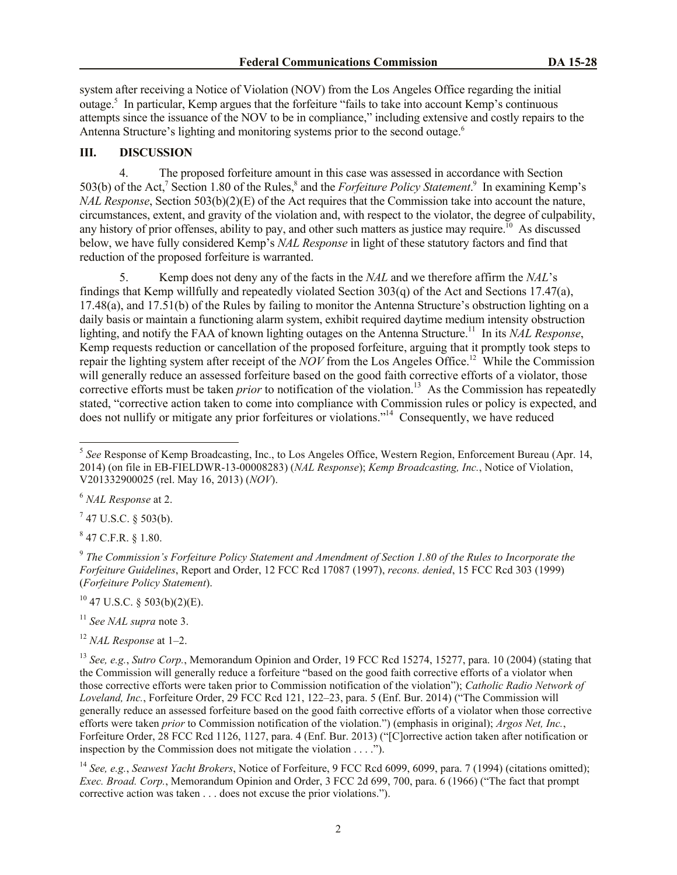system after receiving a Notice of Violation (NOV) from the Los Angeles Office regarding the initial outage. 5 In particular, Kemp argues that the forfeiture "fails to take into account Kemp's continuous attempts since the issuance of the NOV to be in compliance," including extensive and costly repairs to the Antenna Structure's lighting and monitoring systems prior to the second outage. 6

### **III. DISCUSSION**

4. The proposed forfeiture amount in this case was assessed in accordance with Section 503(b) of the Act,<sup>7</sup> Section 1.80 of the Rules,<sup>8</sup> and the *Forfeiture Policy Statement*.<sup>9</sup> In examining Kemp's *NAL Response*, Section 503(b)(2)(E) of the Act requires that the Commission take into account the nature, circumstances, extent, and gravity of the violation and, with respect to the violator, the degree of culpability, any history of prior offenses, ability to pay, and other such matters as justice may require.<sup>10</sup> As discussed below, we have fully considered Kemp's *NAL Response* in light of these statutory factors and find that reduction of the proposed forfeiture is warranted.

5. Kemp does not deny any of the facts in the *NAL* and we therefore affirm the *NAL*'s findings that Kemp willfully and repeatedly violated Section 303(q) of the Act and Sections 17.47(a), 17.48(a), and 17.51(b) of the Rules by failing to monitor the Antenna Structure's obstruction lighting on a daily basis or maintain a functioning alarm system, exhibit required daytime medium intensity obstruction lighting, and notify the FAA of known lighting outages on the Antenna Structure. 11 In its *NAL Response*, Kemp requests reduction or cancellation of the proposed forfeiture, arguing that it promptly took steps to repair the lighting system after receipt of the *NOV* from the Los Angeles Office. 12 While the Commission will generally reduce an assessed forfeiture based on the good faith corrective efforts of a violator, those corrective efforts must be taken *prior* to notification of the violation.<sup>13</sup> As the Commission has repeatedly stated, "corrective action taken to come into compliance with Commission rules or policy is expected, and does not nullify or mitigate any prior forfeitures or violations."<sup>14</sup> Consequently, we have reduced

l

 $7$  47 U.S.C. § 503(b).

 $8$  47 C.F.R. § 1.80.

9 *The Commission's Forfeiture Policy Statement and Amendment of Section 1.80 of the Rules to Incorporate the Forfeiture Guidelines*, Report and Order, 12 FCC Rcd 17087 (1997), *recons. denied*, 15 FCC Rcd 303 (1999) (*Forfeiture Policy Statement*).

 $10$  47 U.S.C. § 503(b)(2)(E).

<sup>11</sup> *See NAL supra* note 3.

<sup>&</sup>lt;sup>5</sup> See Response of Kemp Broadcasting, Inc., to Los Angeles Office, Western Region, Enforcement Bureau (Apr. 14, 2014) (on file in EB-FIELDWR-13-00008283) (*NAL Response*); *Kemp Broadcasting, Inc.*, Notice of Violation, V201332900025 (rel. May 16, 2013) (*NOV*).

<sup>6</sup> *NAL Response* at 2.

<sup>12</sup> *NAL Response* at 1–2.

<sup>13</sup> *See, e.g.*, *Sutro Corp.*, Memorandum Opinion and Order, 19 FCC Rcd 15274, 15277, para. 10 (2004) (stating that the Commission will generally reduce a forfeiture "based on the good faith corrective efforts of a violator when those corrective efforts were taken prior to Commission notification of the violation"); *Catholic Radio Network of Loveland, Inc.*, Forfeiture Order, 29 FCC Rcd 121, 122–23, para. 5 (Enf. Bur. 2014) ("The Commission will generally reduce an assessed forfeiture based on the good faith corrective efforts of a violator when those corrective efforts were taken *prior* to Commission notification of the violation.") (emphasis in original); *Argos Net, Inc.*, Forfeiture Order, 28 FCC Rcd 1126, 1127, para. 4 (Enf. Bur. 2013) ("[C]orrective action taken after notification or inspection by the Commission does not mitigate the violation  $\dots$ .

<sup>14</sup> *See, e.g.*, *Seawest Yacht Brokers*, Notice of Forfeiture, 9 FCC Rcd 6099, 6099, para. 7 (1994) (citations omitted); *Exec. Broad. Corp.*, Memorandum Opinion and Order, 3 FCC 2d 699, 700, para. 6 (1966) ("The fact that prompt corrective action was taken . . . does not excuse the prior violations.").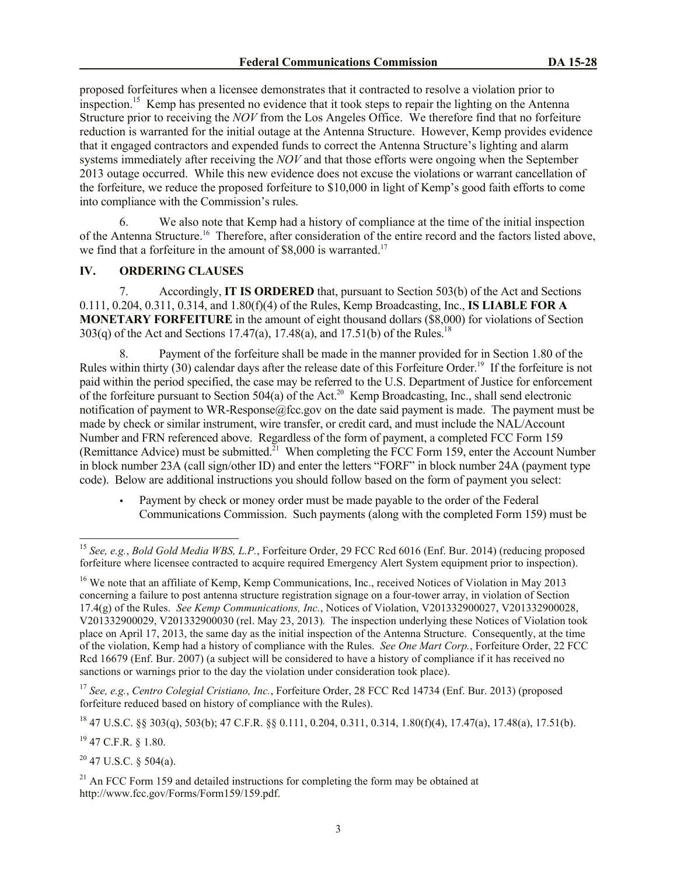proposed forfeitures when a licensee demonstrates that it contracted to resolve a violation prior to inspection.<sup>15</sup> Kemp has presented no evidence that it took steps to repair the lighting on the Antenna Structure prior to receiving the *NOV* from the Los Angeles Office. We therefore find that no forfeiture reduction is warranted for the initial outage at the Antenna Structure. However, Kemp provides evidence that it engaged contractors and expended funds to correct the Antenna Structure's lighting and alarm systems immediately after receiving the *NOV* and that those efforts were ongoing when the September 2013 outage occurred. While this new evidence does not excuse the violations or warrant cancellation of the forfeiture, we reduce the proposed forfeiture to \$10,000 in light of Kemp's good faith efforts to come into compliance with the Commission's rules.

6. We also note that Kemp had a history of compliance at the time of the initial inspection of the Antenna Structure.<sup>16</sup> Therefore, after consideration of the entire record and the factors listed above, we find that a forfeiture in the amount of  $$8,000$  is warranted.<sup>17</sup>

#### **IV. ORDERING CLAUSES**

7. Accordingly, **IT IS ORDERED** that, pursuant to Section 503(b) of the Act and Sections 0.111, 0.204, 0.311, 0.314, and 1.80(f)(4) of the Rules, Kemp Broadcasting, Inc., **IS LIABLE FOR A MONETARY FORFEITURE** in the amount of eight thousand dollars (\$8,000) for violations of Section 303(q) of the Act and Sections 17.47(a), 17.48(a), and 17.51(b) of the Rules.<sup>18</sup>

8. Payment of the forfeiture shall be made in the manner provided for in Section 1.80 of the Rules within thirty (30) calendar days after the release date of this Forfeiture Order.<sup>19</sup> If the forfeiture is not paid within the period specified, the case may be referred to the U.S. Department of Justice for enforcement of the forfeiture pursuant to Section 504(a) of the Act.<sup>20</sup> Kemp Broadcasting, Inc., shall send electronic notification of payment to WR-Response@fcc.gov on the date said payment is made. The payment must be made by check or similar instrument, wire transfer, or credit card, and must include the NAL/Account Number and FRN referenced above. Regardless of the form of payment, a completed FCC Form 159 (Remittance Advice) must be submitted.<sup>21</sup> When completing the FCC Form 159, enter the Account Number in block number 23A (call sign/other ID) and enter the letters "FORF" in block number 24A (payment type code). Below are additional instructions you should follow based on the form of payment you select:

 Payment by check or money order must be made payable to the order of the Federal Communications Commission. Such payments (along with the completed Form 159) must be

<sup>19</sup> 47 C.F.R. § 1.80.

l

 $20$  47 U.S.C. § 504(a).

<sup>15</sup> *See, e.g.*, *Bold Gold Media WBS, L.P.*, Forfeiture Order, 29 FCC Rcd 6016 (Enf. Bur. 2014) (reducing proposed forfeiture where licensee contracted to acquire required Emergency Alert System equipment prior to inspection).

<sup>&</sup>lt;sup>16</sup> We note that an affiliate of Kemp, Kemp Communications, Inc., received Notices of Violation in May 2013 concerning a failure to post antenna structure registration signage on a four-tower array, in violation of Section 17.4(g) of the Rules. *See Kemp Communications, Inc.*, Notices of Violation, V201332900027, V201332900028, V201332900029, V201332900030 (rel. May 23, 2013)*.* The inspection underlying these Notices of Violation took place on April 17, 2013, the same day as the initial inspection of the Antenna Structure. Consequently, at the time of the violation, Kemp had a history of compliance with the Rules. *See One Mart Corp.*, Forfeiture Order, 22 FCC Rcd 16679 (Enf. Bur. 2007) (a subject will be considered to have a history of compliance if it has received no sanctions or warnings prior to the day the violation under consideration took place).

<sup>17</sup> *See, e.g.*, *Centro Colegial Cristiano, Inc.*, Forfeiture Order, 28 FCC Rcd 14734 (Enf. Bur. 2013) (proposed forfeiture reduced based on history of compliance with the Rules).

 $^{18}$  47 U.S.C. §§ 303(q), 503(b); 47 C.F.R. §§ 0.111, 0.204, 0.311, 0.314, 1.80(f)(4), 17.47(a), 17.48(a), 17.51(b).

 $21$  An FCC Form 159 and detailed instructions for completing the form may be obtained at http://www.fcc.gov/Forms/Form159/159.pdf.